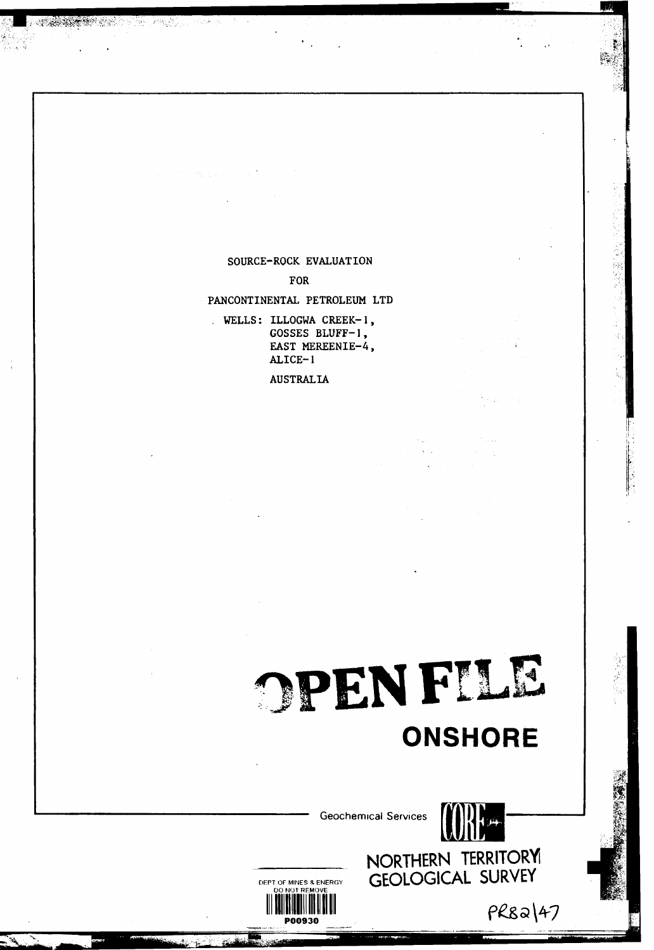#### SOURCE-ROCK EVALUATION

 $\sigma_{\rm{max}}=1$ 

1번 - 서쪽, 2008

**SERVICE STATE** 

FOR

PANCONTINENTAL PETROLEUM LTD

. WELLS: ILLOGWA CREEK-1, GOSSES BLUFF-1, EAST MEREENIE-4,  $ALICE-1$ 

**AUSTRALIA** 

## OPENFILE **ONSHORE**

**Geochemical Services** 

DEPT OF MINES & ENERGY

NORTHERN TERRITORY GEOLOGICAL SURVEY

PR82147

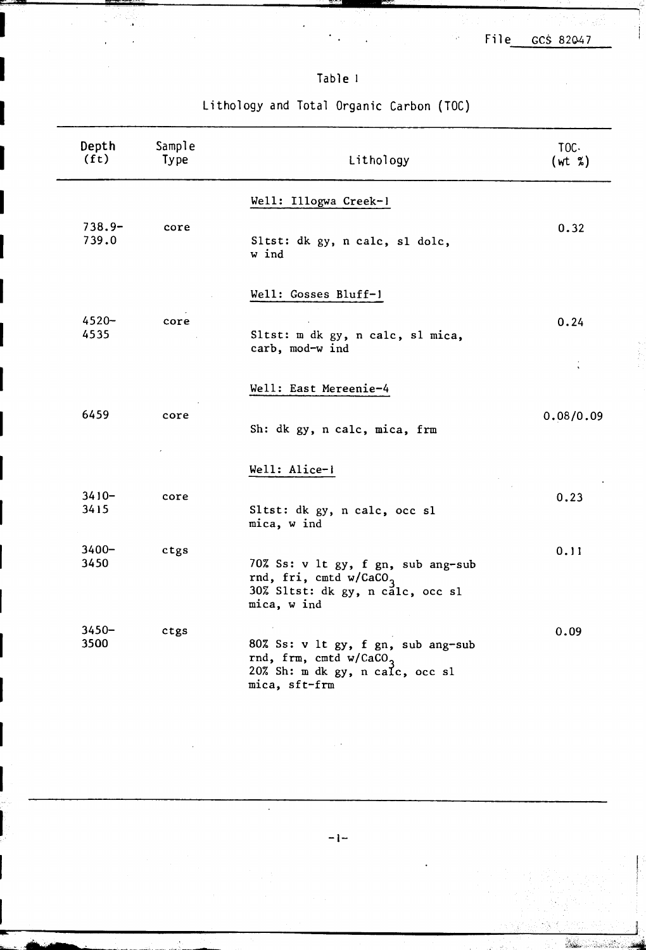á.

 $\frac{1}{C_{\rm{B}}}$ 

### Table<sup>1</sup>

c\_y""

-~ ~---~-I.

| Depth<br>(f <sub>t</sub> ) | Sample<br>Type | Lithology                                                                                                                    | TOC.<br>(wt % ) |
|----------------------------|----------------|------------------------------------------------------------------------------------------------------------------------------|-----------------|
| $738.9 -$<br>739.0         | core           | Well: Illogwa Creek-1<br>Sltst: dk gy, n calc, sl dolc,<br>w ind                                                             | 0.32            |
| $4520 -$<br>4535           | core           | Well: Gosses Bluff-1<br>Sltst: m dk gy, n calc, sl mica,<br>carb, mod-w ind                                                  | 0.24            |
| 6459                       | core           | Well: East Mereenie-4<br>Sh: dk gy, n calc, mica, frm                                                                        | 0.08/0.09       |
| $3410 -$<br>3415           | core           | Well: Alice-1<br>Sltst: dk gy, n calc, occ sl<br>mica, w ind                                                                 | 0.23            |
| $3400 -$<br>3450           | ctgs           | 70% Ss: v 1t gy, f gn, sub ang-sub<br>rnd, fri, cmtd w/CaCO <sub>3</sub><br>30% Sltst: dk gy, n calc, occ sl<br>mica, w ind  | 0.11            |
| $3450 -$<br>3500           | ctgs           | 80% Ss: v 1t gy, f gn, sub ang-sub<br>rnd, frm, cmtd w/CaCO <sub>3</sub><br>20% Sh: m dk gy, n calc, occ sl<br>mica, sft-frm | 0.09            |
|                            |                |                                                                                                                              |                 |

Lithology and Total Organic Carbon (TOC)

 $-1-$ 

~~~.~~-~,~~~: ~ .c...",...'C",--

 $\ddot{\phantom{a}}$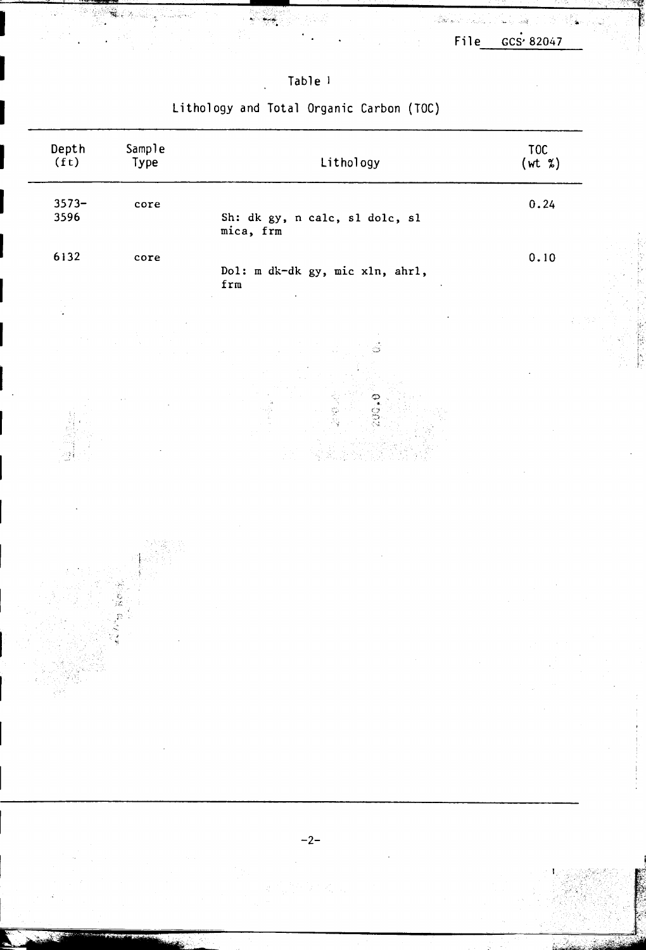$\hat{\mathbf{x}}$ 

۵.

فكسيبة

Sin S

### Table<sup>1</sup>

ý بمبد

ر<br>اه

### Lithology and Total Organic Carbon (TOC)

| Depth<br>(f <sub>t</sub> ) | Sample<br>Type | Lithology                                   | $\begin{pmatrix} 10C \\ wt & x \end{pmatrix}$ |
|----------------------------|----------------|---------------------------------------------|-----------------------------------------------|
| $3573 -$<br>3596           | $\c{ore}$      | Sh: dk gy, n calc, sl dolc, sl<br>mica, frm | 0.24                                          |
| 6132                       | core           | Dol: m dk-dk gy, mic xln, ahrl,<br>frm      | 0.10                                          |
|                            |                |                                             |                                               |
|                            |                | Ċs                                          |                                               |
|                            |                | $\mathbb{S}$                                |                                               |
|                            |                |                                             |                                               |
|                            |                |                                             |                                               |
|                            |                |                                             |                                               |
|                            |                |                                             |                                               |
|                            |                |                                             |                                               |
|                            |                |                                             |                                               |
|                            |                |                                             |                                               |
|                            |                | $-2-$                                       |                                               |
|                            |                |                                             |                                               |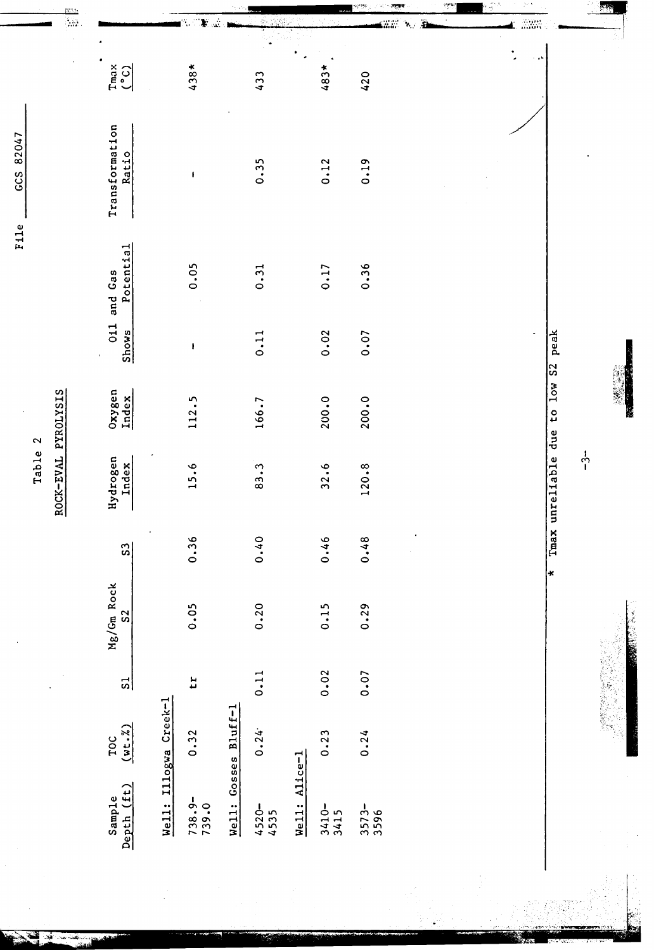|         | $\frac{m\gamma_2}{2m}$ |                                      |                       |                   |                      |                    |               |                  |               | म्बर                         | 35 | ∑e n |                                |               |               |
|---------|------------------------|--------------------------------------|-----------------------|-------------------|----------------------|--------------------|---------------|------------------|---------------|------------------------------|----|------|--------------------------------|---------------|---------------|
|         |                        |                                      |                       | $\mathbf{F}$      |                      |                    |               |                  | alia.         | Â<br>$\mathbf{v}_\mathrm{d}$ |    |      | anger<br>Ander                 |               |               |
|         |                        | $T$ max<br>$(°C)$                    |                       | $438*$            |                      | 433                |               | $483*$           | 420           |                              |    |      |                                |               |               |
|         |                        | Transformation<br>Ratio              |                       | $\mathbf{r}$      |                      | 0.35               |               | 0.12             | 0.19          |                              |    |      |                                |               |               |
|         |                        | Potential<br>and Gas                 |                       | 0.05              |                      | 0.31               |               | 0.17             | 0.36          |                              |    |      |                                |               |               |
|         |                        | 011<br>Shows                         |                       | ı                 |                      | 0.11               |               | 0.02             | 0.07          |                              |    |      | peak<br>$\overline{\text{S2}}$ |               |               |
|         |                        | Oxygen<br>Index                      |                       | 112.5             |                      | 166.7              |               | 200.0            | 200.0         |                              |    |      | 10w<br>$\mathfrak{c}$<br>due   |               | <b>R</b>      |
| Table 2 | ROCK-EVAL PYROLYSIS    | Hydrogen<br>Index                    |                       | 15.6              |                      | 83.3               |               | 32.6             | 120.8         |                              |    |      | Tmax unreliable                | $\frac{1}{1}$ |               |
|         |                        | $\Omega$                             | $\bullet$             | 0.36              |                      | 0.40               |               | 0.46             | 0.48          | $\bullet$                    |    |      | $\star$                        |               |               |
|         |                        | Mg/Gm Rock<br>S <sub>2</sub>         |                       | 0.05              |                      | 0.20               |               | 0.15             | 0.29          |                              |    |      |                                |               | į<br>一、 大家 人名 |
|         |                        | $\frac{1}{2}$                        |                       | 11                |                      | 0.11               |               | 0.02             | 0.07          |                              |    |      |                                |               |               |
|         |                        | (wt.2)<br>TOC                        |                       | 0.32              |                      | 0.24               |               | 0.23             | 0.24          |                              |    |      |                                |               |               |
|         |                        | (f <sub>t</sub> )<br>Sample<br>Depth | Well: Illogwa Creek-1 | $738.9-$<br>739.0 | Well: Gosses Bluff-1 | $4520 -$<br>$4535$ | Well: Alice-1 | $3410 -$<br>3415 | $3573 - 3596$ |                              |    |      |                                |               |               |

F11e GCS 82047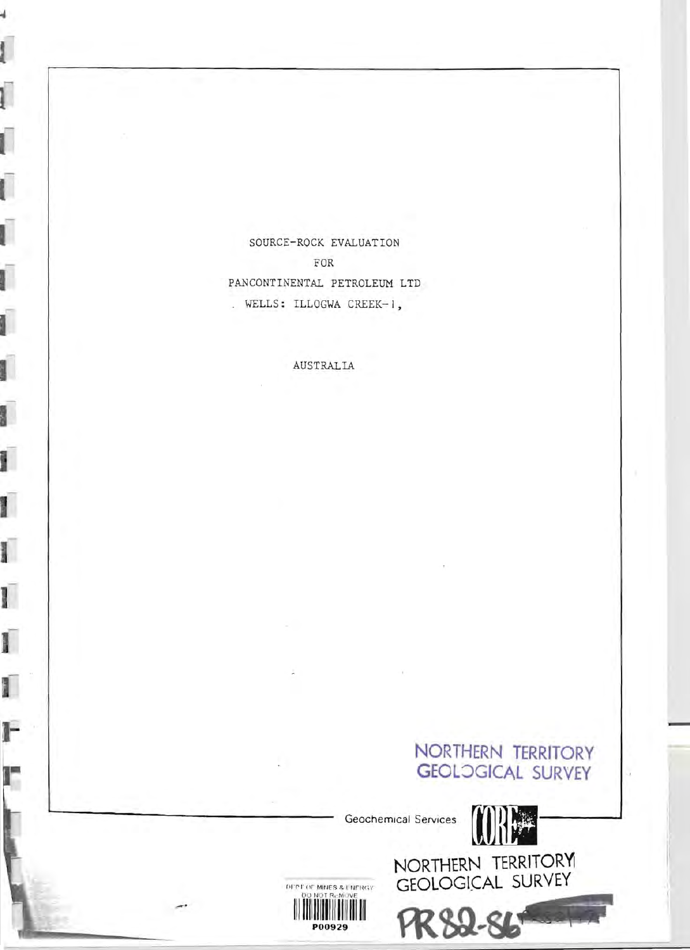SOURCE-ROCK EVALUATION FOR PANCONTINENTAL PETROLEUM LTD . WELLS: ILLOGWA CREEK-1,

d

 $\overline{\mathbf{I}}$ 

ſ

Ū

Ū

Ú

ſ

ſ

ľ

Ī

Ī

ſ

I

T

F

r

AUSTRALIA



DEPT OF MINES & LIBERGY<br>DO NOT REMOVE<br>PO0929

FR 82-86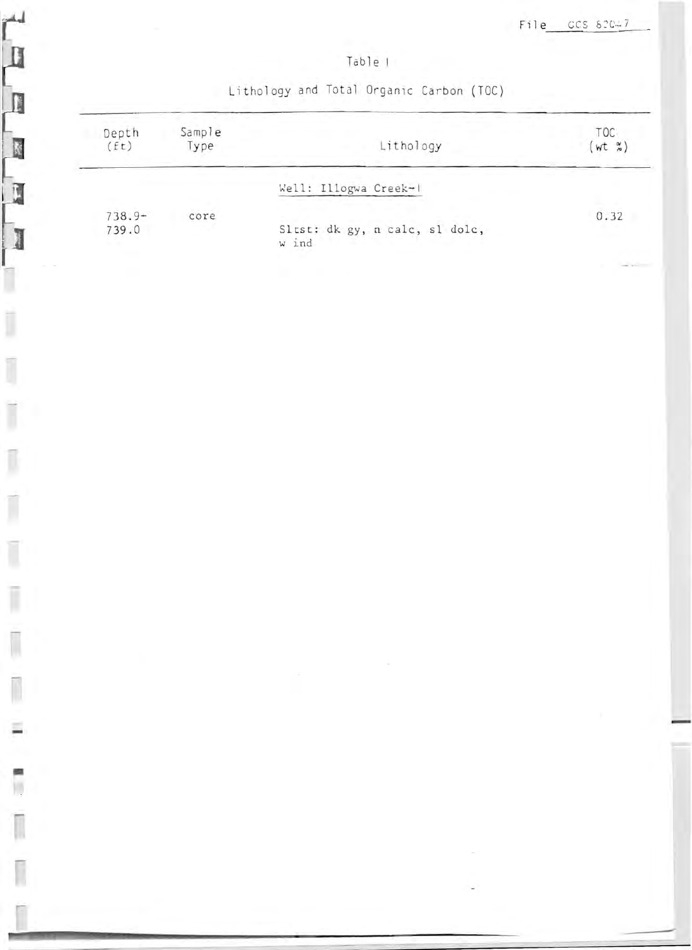File CCS 82047

#### Table !

Lithology and Total Organic Carbon (TOC)

E

1

Ī

Ī

ĵ

Ī

Ī

Ī

T

Ξ

Ī

Γ

Ī

| Depth<br>(Et)      | Sample<br>Type | Lithology                               | TOC-<br>$wt$ $\frac{\alpha}{\alpha}$ |
|--------------------|----------------|-----------------------------------------|--------------------------------------|
|                    |                | Well: Illogwa Creek-1                   |                                      |
| $738.9 -$<br>739.0 | core           | Sltst: dk gy, n calc, sl dolc,<br>w ind | 0.32                                 |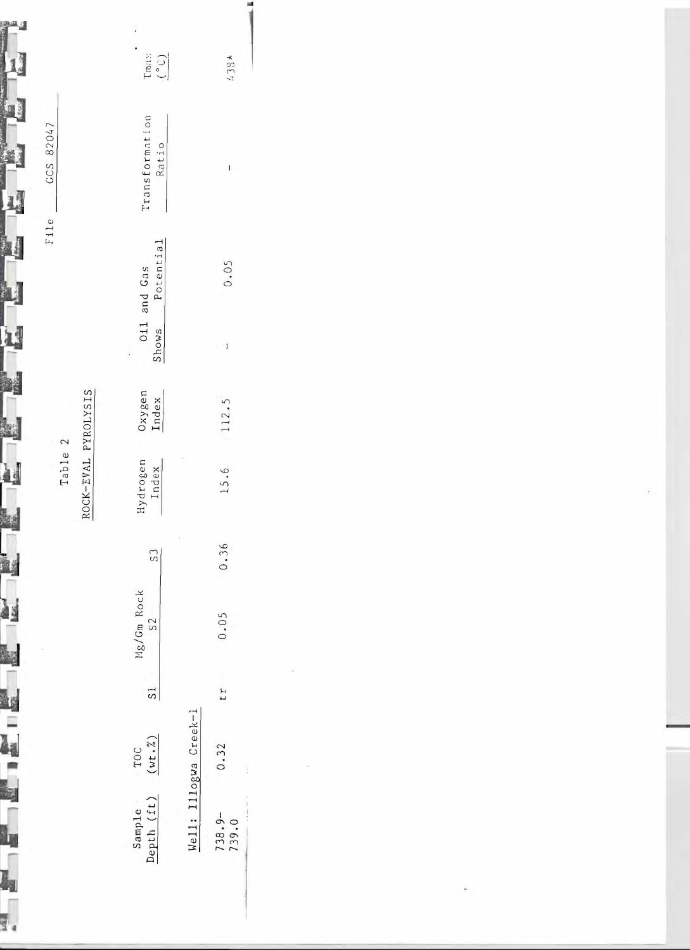|                      |                       |    |                  |      | Table 2             |                 |       |                          |                         |                      |
|----------------------|-----------------------|----|------------------|------|---------------------|-----------------|-------|--------------------------|-------------------------|----------------------|
|                      |                       |    |                  |      | ROCK-EVAL PYROLYSIS |                 |       |                          |                         |                      |
| Sample<br>Depth (ft) | $(wt.^2)$<br>TOC      | 5  | Mg/Gm Rock<br>S2 | S    | Hydrogen<br>Index   | Oxygen<br>Index | Shows | Potential<br>011 and Gas | Transformation<br>Ratio | $\frac{1}{\sqrt{2}}$ |
|                      | Well: Illogwa Creek-1 |    |                  |      |                     |                 |       |                          |                         |                      |
| $738.9-$             | 0.32                  | ΙI | 0.05             | 0.36 | 15.6                | 112.            | ı     | 0.05                     |                         | $438*$               |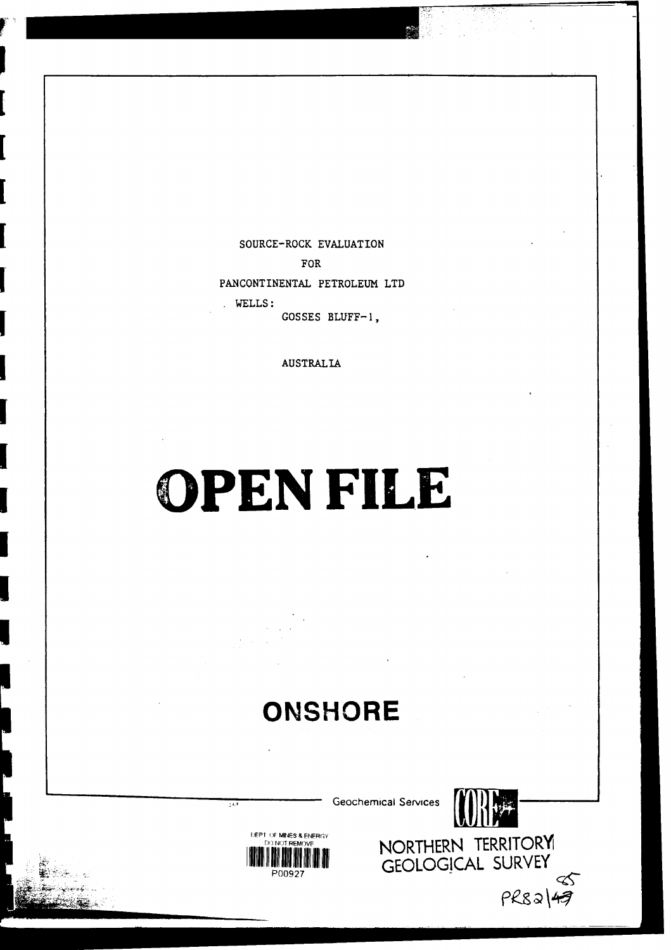SOURCE-ROCK EVALUATION FOR PANCONTINENTAL PETROLEUM LTD -WELLS: GOSSES BLUFF-I.

AUSTRALIA

# OPEN FILE

## **ONSHORE**

Geochemical Services



IIEPI[I:~~,j~~,j~~~r~::R',Y ORTHERN TERRITOR't1  $\blacksquare$ iniiniiniin ah  $\blacksquare$  cfological survey  $\sum_{27}$ ≪  $PRS3|47$ 



 $\overline{\mathcal{D}}$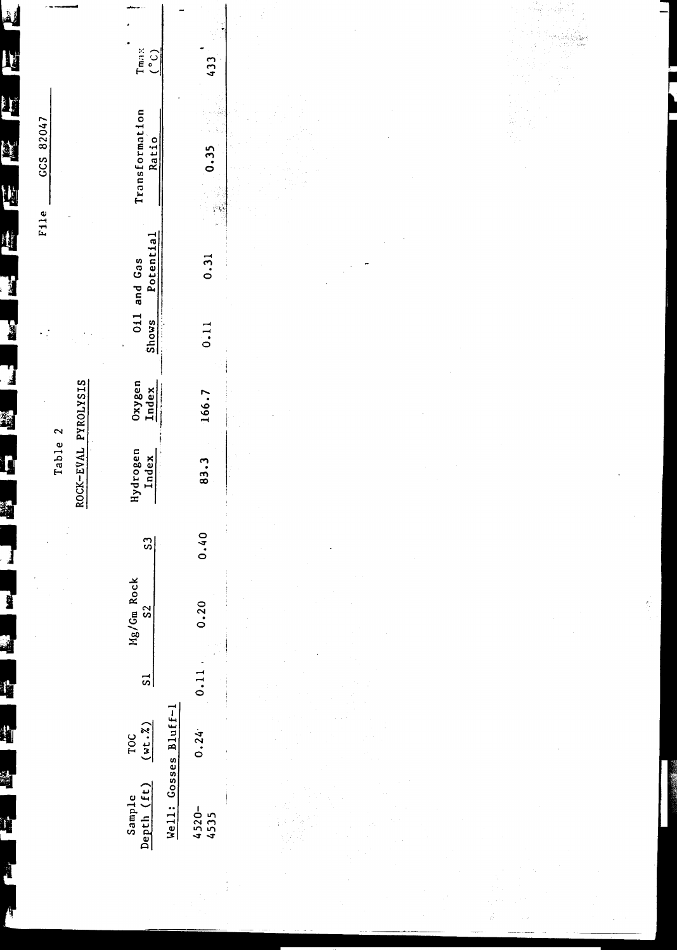|                                       |                            |               |                                                                                                                                                                                                                                                                                                                                  |                | Table 2                                    |                 | $\mathcal{L}$ |                      | GCS 82047<br>File        |                                                |
|---------------------------------------|----------------------------|---------------|----------------------------------------------------------------------------------------------------------------------------------------------------------------------------------------------------------------------------------------------------------------------------------------------------------------------------------|----------------|--------------------------------------------|-----------------|---------------|----------------------|--------------------------|------------------------------------------------|
|                                       |                            |               |                                                                                                                                                                                                                                                                                                                                  |                | ROCK-EVAL PYROLYSIS                        |                 |               |                      | ÷                        |                                                |
| (f <sub>t</sub> )<br>Sample<br>Depth  | $\frac{10C}{(wt \cdot 3)}$ | $\frac{1}{2}$ | Mg/Gm Rock<br>S <sub>2</sub>                                                                                                                                                                                                                                                                                                     | $\overline{S}$ | Hydrogen<br>Index<br>J.                    | Oxygen<br>Index | 011<br>Shows  | Potential<br>and Gas | Transformation<br>Ratio  | $T_{max}$<br>$(°c)$                            |
| Well: Gosses Bluff-1<br>4520-<br>4535 | 0.24                       | 0.11          | 0.20                                                                                                                                                                                                                                                                                                                             | 0.40           | $\sim$<br>83.3<br>ŧ<br>$\ddot{\mathrm{i}}$ | 166.7           | 0.11          | 0.31                 | 人名<br>0.35<br>ŷ.<br>रोश् | 433                                            |
|                                       |                            |               |                                                                                                                                                                                                                                                                                                                                  |                |                                            |                 |               |                      |                          | $\gamma$ year<br>o Gip.<br>ia<br>Roja<br>Titus |
|                                       |                            |               | $\sim$<br>$\begin{bmatrix} \mathcal{S}_{\mathcal{G}}^{\mathcal{G}} & \cdots & \mathcal{S}_{\mathcal{G}}^{\mathcal{G}} \\ \mathcal{S}_{\mathcal{G}}^{\mathcal{G}} & \cdots & \mathcal{S}_{\mathcal{G}}^{\mathcal{G}} \\ \mathcal{S}_{\mathcal{G}}^{\mathcal{G}} & \cdots & \mathcal{S}_{\mathcal{G}}^{\mathcal{G}} \end{bmatrix}$ |                |                                            |                 |               |                      |                          |                                                |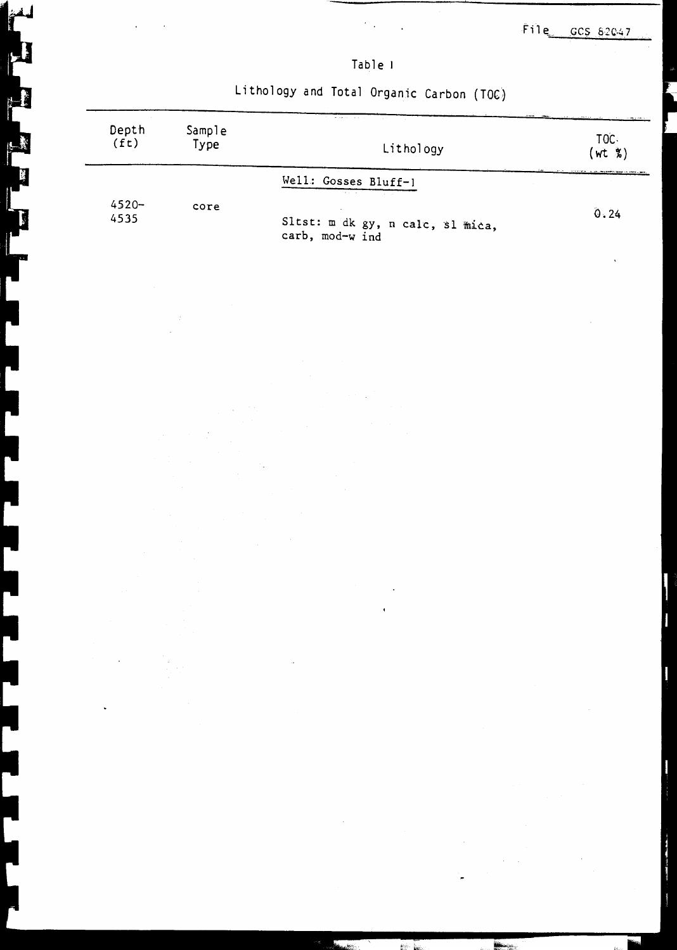$F11e$  GCS 82047

| d.<br>D |  |  |
|---------|--|--|
|         |  |  |

Í

Ŗ

Lithology and Total Organic Carbon (TOC)

| Depth<br>(f <sub>t</sub> ) | Sample<br>Type | the contract of the company of the company of the<br>Lithology               | <u> 1988 - Andreas Andrews, Amerikaansk politiker (</u><br>TOC.<br>$(wt \times)$ |
|----------------------------|----------------|------------------------------------------------------------------------------|----------------------------------------------------------------------------------|
|                            |                | Well: Gosses Bluff-1<br><b>Contract Contract</b><br><b>Contract Contract</b> |                                                                                  |
| $4520 -$<br>4535           | core           | Sltst: m dk gy, n calc, sl mica,<br>carb, mod-w ind                          | 0.24                                                                             |

,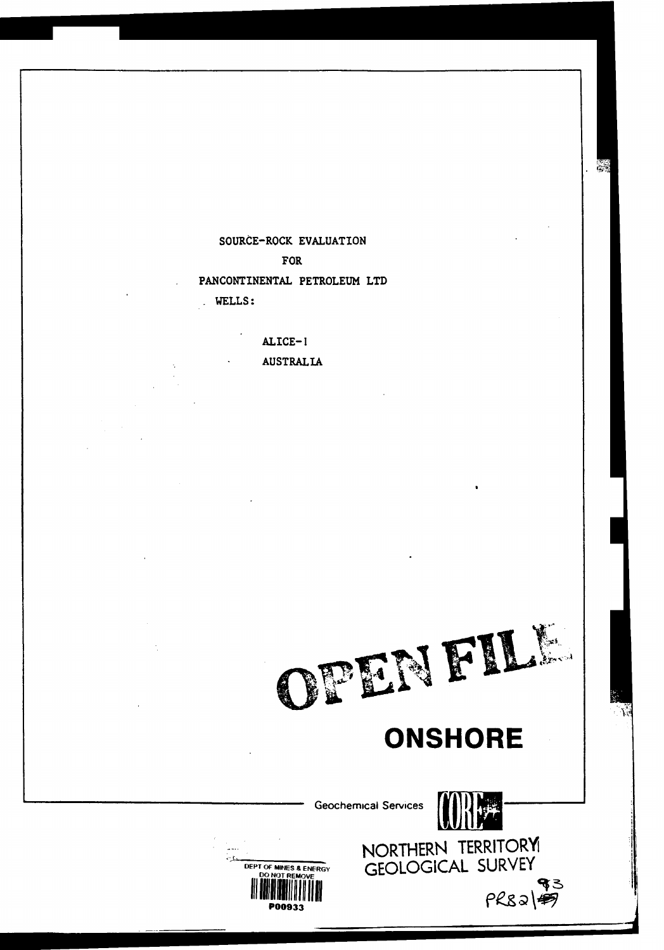SOURCE-ROCK EVALUATION **FOR** PANCONTINENTAL PETROLEUM LTD . WELLS:

ALICE-I

**AUSTRALIA** 



### **ONSHORE**





NORTHERN TERRITORY  $PRS3|$ 

्र<br>देखें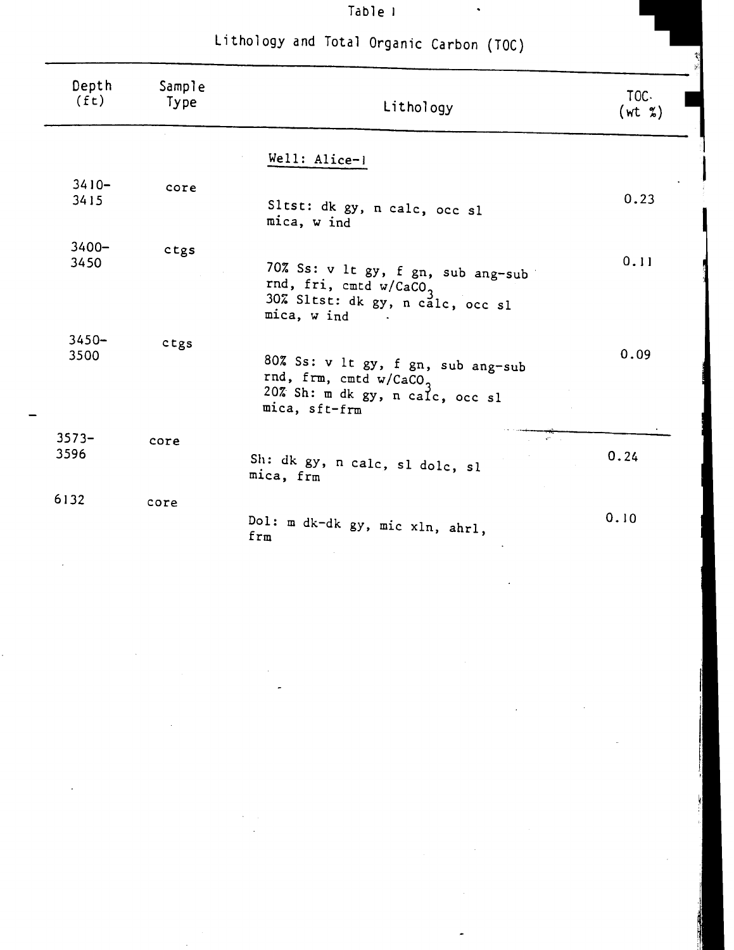| Depth<br>(f <sub>t</sub> ) | Sample<br>Type | Lithology                                                                                                                   | TOC.<br>(wt x) |
|----------------------------|----------------|-----------------------------------------------------------------------------------------------------------------------------|----------------|
|                            |                | Well: Alice-1                                                                                                               |                |
| $3410 -$<br>3415           | core           | Sltst: dk gy, n calc, occ sl<br>mica, w ind                                                                                 | 0.23           |
| $3400 -$<br>3450           | ctgs           | 70% Ss: v lt gy, f gn, sub ang-sub<br>rnd, fri, cmtd w/CaCO <sub>3</sub><br>30% Sltst: dk gy, n călc, occ sl<br>mica, w ind | 0.11           |
| $3450 -$<br>3500           | ctgs           | 80% Ss: v lt gy, f gn, sub ang-sub<br>rnd, frm, cmtd $w / CACO3$<br>20% Sh: m dk gy, n calc, occ sl<br>mica, sft-frm        | 0.09           |
| $3573 -$<br>3596           | core           | $\mathbf{e}^{i\mathbf{e}}$ . $\mathbf{e}^{i\mathbf{e}}$<br>Sh: dk gy, n calc, sl dolc, sl<br>mica, frm                      | 0.24           |
| 6132                       | core           | Dol: m dk-dk gy, mic xln, ahrl,<br>frm                                                                                      | 0.10           |

Table I

I . The second control of the second